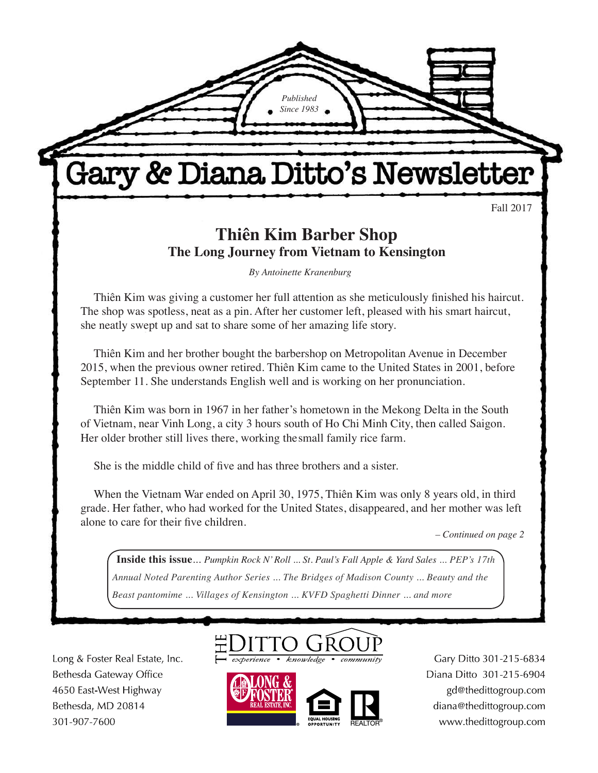Fall 2017

## **Thiên Kim Barber Shop The Long Journey from Vietnam to Kensington**

*Published Since 1983*

Gary & Diana Ditto's Newsletter

*By Antoinette Kranenburg*

Thiên Kim was giving a customer her full attention as she meticulously finished his haircut. The shop was spotless, neat as a pin. After her customer left, pleased with his smart haircut, she neatly swept up and sat to share some of her amazing life story.

Thiên Kim and her brother bought the barbershop on Metropolitan Avenue in December 2015, when the previous owner retired. Thiên Kim came to the United States in 2001, before September 11. She understands English well and is working on her pronunciation.

Thiên Kim was born in 1967 in her father's hometown in the Mekong Delta in the South of Vietnam, near Vinh Long, a city 3 hours south of Ho Chi Minh City, then called Saigon. Her older brother still lives there, working the small family rice farm.

She is the middle child of five and has three brothers and a sister.

When the Vietnam War ended on April 30, 1975, Thiên Kim was only 8 years old, in third grade. Her father, who had worked for the United States, disappeared, and her mother was left alone to care for their five children.

*– Continued on page 2*

 $\overline{a}$  $\overline{1}$ **Inside this issue***... Pumpkin Rock N' Roll ... St. Paul's Fall Apple & Yard Sales ... PEP's 17th Annual Noted Parenting Author Series ... The Bridges of Madison County ... Beauty and the Beast pantomime ... Villages of Kensington ... KVFD Spaghetti Dinner ... and more*

Long & Foster Real Estate, Inc. Bethesda Gateway Office 4650 East-West Highway Bethesda, MD 20814 301-907-7600

**There's** 





Gary Ditto 301-215-6834 Diana Ditto 301-215-6904 gd@thedittogroup.com diana@thedittogroup.com www.thedittogroup.com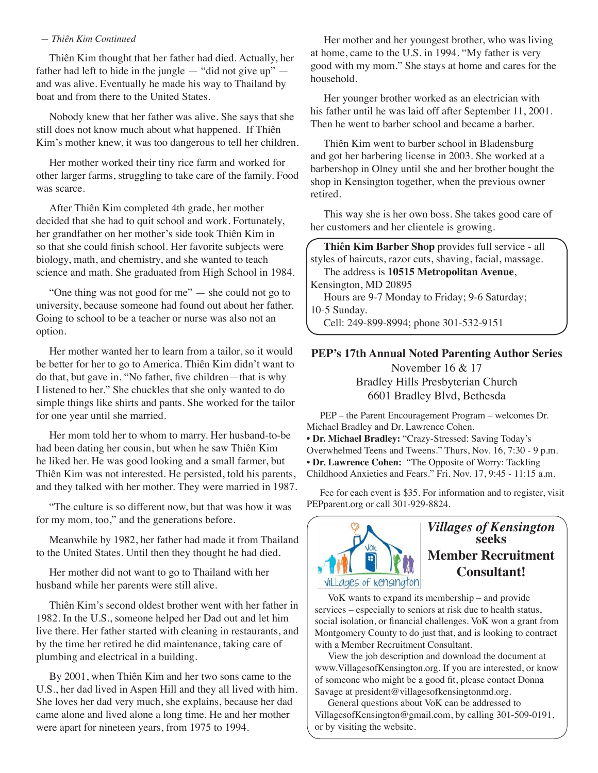#### *— Thiên Kim Continued*

Thiên Kim thought that her father had died. Actually, her father had left to hide in the jungle  $-$  "did not give up"  $$ and was alive. Eventually he made his way to Thailand by boat and from there to the United States.

Nobody knew that her father was alive. She says that she still does not know much about what happened. If Thiên Kim's mother knew, it was too dangerous to tell her children.

Her mother worked their tiny rice farm and worked for other larger farms, struggling to take care of the family. Food was scarce.

After Thiên Kim completed 4th grade, her mother decided that she had to quit school and work. Fortunately, her grandfather on her mother's side took Thiên Kim in so that she could finish school. Her favorite subjects were biology, math, and chemistry, and she wanted to teach science and math. She graduated from High School in 1984.

"One thing was not good for me" — she could not go to university, because someone had found out about her father. Going to school to be a teacher or nurse was also not an option.

Her mother wanted her to learn from a tailor, so it would be better for her to go to America. Thiên Kim didn't want to do that, but gave in. "No father, five children—that is why I listened to her." She chuckles that she only wanted to do simple things like shirts and pants. She worked for the tailor for one year until she married.

Her mom told her to whom to marry. Her husband-to-be had been dating her cousin, but when he saw Thiên Kim he liked her. He was good looking and a small farmer, but Thiên Kim was not interested. He persisted, told his parents, and they talked with her mother. They were married in 1987.

"The culture is so different now, but that was how it was for my mom, too," and the generations before.

Meanwhile by 1982, her father had made it from Thailand to the United States. Until then they thought he had died.

Her mother did not want to go to Thailand with her husband while her parents were still alive.

Thiên Kim's second oldest brother went with her father in 1982. In the U.S., someone helped her Dad out and let him live there. Her father started with cleaning in restaurants, and by the time her retired he did maintenance, taking care of plumbing and electrical in a building.

By 2001, when Thiên Kim and her two sons came to the U.S., her dad lived in Aspen Hill and they all lived with him. She loves her dad very much, she explains, because her dad came alone and lived alone a long time. He and her mother were apart for nineteen years, from 1975 to 1994.

Her mother and her youngest brother, who was living at home, came to the U.S. in 1994. "My father is very good with my mom." She stays at home and cares for the household.

Her younger brother worked as an electrician with his father until he was laid off after September 11, 2001. Then he went to barber school and became a barber.

Thiên Kim went to barber school in Bladensburg and got her barbering license in 2003. She worked at a barbershop in Olney until she and her brother bought the shop in Kensington together, when the previous owner retired.

This way she is her own boss. She takes good care of her customers and her clientele is growing.

**Thiên Kim Barber Shop** provides full service - all styles of haircuts, razor cuts, shaving, facial, massage. The address is **10515 Metropolitan Avenue**, Kensington, MD 20895 Hours are 9-7 Monday to Friday; 9-6 Saturday; 10-5 Sunday.

Cell: 249-899-8994; phone 301-532-9151

#### **PEP's 17th Annual Noted Parenting Author Series**  November 16 & 17 Bradley Hills Presbyterian Church 6601 Bradley Blvd, Bethesda

PEP – the Parent Encouragement Program – welcomes Dr. Michael Bradley and Dr. Lawrence Cohen. • **Dr. Michael Bradley:** "Crazy-Stressed: Saving Today's Overwhelmed Teens and Tweens." Thurs, Nov. 16, 7:30 - 9 p.m. • **Dr. Lawrence Cohen:** "The Opposite of Worry: Tackling Childhood Anxieties and Fears." Fri. Nov. 17, 9:45 - 11:15 a.m.

Fee for each event is \$35. For information and to register, visit PEPparent.org or call 301-929-8824.



#### *Villages of Kensington* **seeks Member Recruitment Consultant!**

VoK wants to expand its membership – and provide services – especially to seniors at risk due to health status, social isolation, or financial challenges. VoK won a grant from Montgomery County to do just that, and is looking to contract with a Member Recruitment Consultant.

View the job description and download the document at www.VillagesofKensington.org. If you are interested, or know of someone who might be a good fit, please contact Donna Savage at president@villagesofkensingtonmd.org.

General questions about VoK can be addressed to VillagesofKensington@gmail.com, by calling 301-509-0191, or by visiting the website.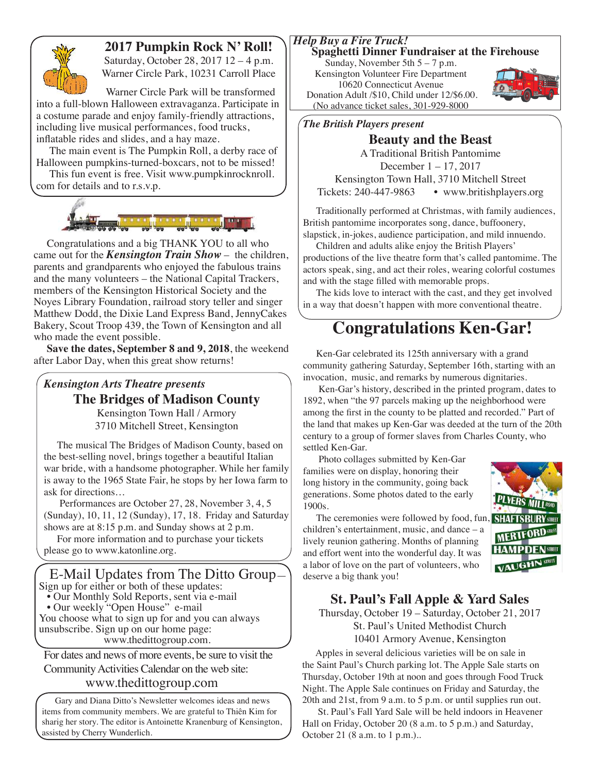

### **2017 Pumpkin Rock N' Roll!**

Saturday, October 28, 2017 12 – 4 p.m. Warner Circle Park, 10231 Carroll Place

Warner Circle Park will be transformed into a full-blown Halloween extravaganza. Participate in a costume parade and enjoy family-friendly attractions, including live musical performances, food trucks, inflatable rides and slides, and a hay maze.

The main event is The Pumpkin Roll, a derby race of Halloween pumpkins-turned-boxcars, not to be missed!

This fun event is free. Visit www.pumpkinrocknroll. com for details and to r.s.v.p.



Congratulations and a big THANK YOU to all who came out for the *Kensington Train Show* – the children, parents and grandparents who enjoyed the fabulous trains and the many volunteers – the National Capital Trackers, members of the Kensington Historical Society and the Noyes Library Foundation, railroad story teller and singer Matthew Dodd, the Dixie Land Express Band, JennyCakes Bakery, Scout Troop 439, the Town of Kensington and all who made the event possible.

**Save the dates, September 8 and 9, 2018**, the weekend after Labor Day, when this great show returns!

#### *Kensington Arts Theatre presents*

**The Bridges of Madison County**

Kensington Town Hall / Armory 3710 Mitchell Street, Kensington

The musical The Bridges of Madison County, based on the best-selling novel, brings together a beautiful Italian war bride, with a handsome photographer. While her family is away to the 1965 State Fair, he stops by her Iowa farm to ask for directions…

 Performances are October 27, 28, November 3, 4, 5 (Sunday), 10, 11, 12 (Sunday), 17, 18. Friday and Saturday shows are at 8:15 p.m. and Sunday shows at 2 p.m.

For more information and to purchase your tickets please go to www.katonline.org.

E-Mail Updates from The Ditto Group— Sign up for either or both of these updates:

- Our Monthly Sold Reports, sent via e-mail
- Our weekly "Open House" e-mail

You choose what to sign up for and you can always unsubscribe. Sign up on our home page: www.thedittogroup.com.

For dates and news of more events, be sure to visit the Community Activities Calendar on the web site:

#### www.thedittogroup.com

Gary and Diana Ditto's Newsletter welcomes ideas and news items from community members. We are grateful to Thiên Kim for sharig her story. The editor is Antoinette Kranenburg of Kensington, assisted by Cherry Wunderlich.

#### *Help Buy a Fire Truck!*

#### **Spaghetti Dinner Fundraiser at the Firehouse**

Sunday, November 5th 5 – 7 p.m. Kensington Volunteer Fire Department 10620 Connecticut Avenue Donation Adult /\$10, Child under 12/\$6.00. (No advance ticket sales, 301-929-8000



#### *The British Players present*

**Beauty and the Beast** A Traditional British Pantomime December 1 – 17, 2017 Kensington Town Hall, 3710 Mitchell Street Tickets: 240-447-9863 • www.britishplayers.org

Traditionally performed at Christmas, with family audiences, British pantomime incorporates song, dance, buffoonery, slapstick, in-jokes, audience participation, and mild innuendo.

Children and adults alike enjoy the British Players' productions of the live theatre form that's called pantomime. The actors speak, sing, and act their roles, wearing colorful costumes and with the stage filled with memorable props.

The kids love to interact with the cast, and they get involved in a way that doesn't happen with more conventional theatre.

## **Congratulations Ken-Gar!**

Ken-Gar celebrated its 125th anniversary with a grand community gathering Saturday, September 16th, starting with an invocation, music, and remarks by numerous dignitaries.

 Ken-Gar's history, described in the printed program, dates to 1892, when "the 97 parcels making up the neighborhood were among the first in the county to be platted and recorded." Part of the land that makes up Ken-Gar was deeded at the turn of the 20th century to a group of former slaves from Charles County, who settled Ken-Gar.

 Photo collages submitted by Ken-Gar families were on display, honoring their long history in the community, going back generations. Some photos dated to the early 1900s.

The ceremonies were followed by food, fun, children's entertainment, music, and dance – a lively reunion gathering. Months of planning and effort went into the wonderful day. It was a labor of love on the part of volunteers, who deserve a big thank you!



#### **St. Paul's Fall Apple & Yard Sales**

Thursday, October 19 – Saturday, October 21, 2017 St. Paul's United Methodist Church 10401 Armory Avenue, Kensington

Apples in several delicious varieties will be on sale in the Saint Paul's Church parking lot. The Apple Sale starts on Thursday, October 19th at noon and goes through Food Truck Night. The Apple Sale continues on Friday and Saturday, the 20th and 21st, from 9 a.m. to 5 p.m. or until supplies run out.

 St. Paul's Fall Yard Sale will be held indoors in Heavener Hall on Friday, October 20 (8 a.m. to 5 p.m.) and Saturday, October 21 (8 a.m. to 1 p.m.)..